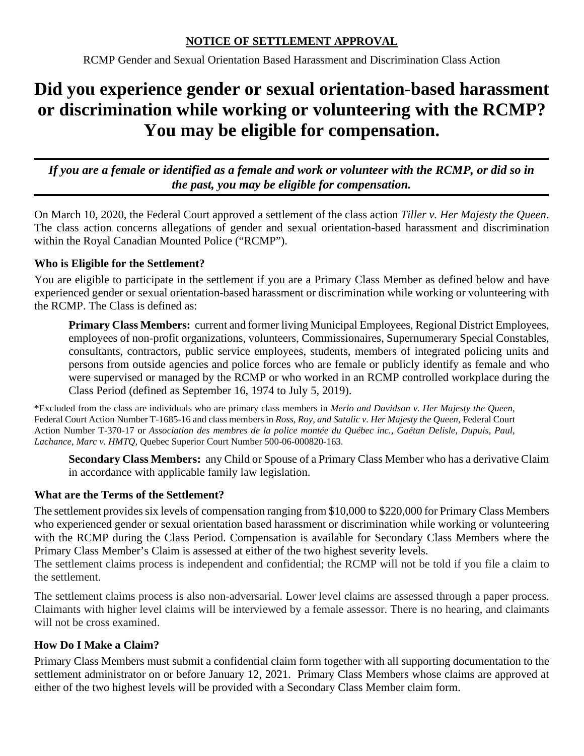## **NOTICE OF SETTLEMENT APPROVAL**

RCMP Gender and Sexual Orientation Based Harassment and Discrimination Class Action

# **Did you experience gender or sexual orientation-based harassment or discrimination while working or volunteering with the RCMP? You may be eligible for compensation.**

*If you are a female or identified as a female and work or volunteer with the RCMP, or did so in the past, you may be eligible for compensation.*

On March 10, 2020, the Federal Court approved a settlement of the class action *Tiller v. Her Majesty the Queen*. The class action concerns allegations of gender and sexual orientation-based harassment and discrimination within the Royal Canadian Mounted Police ("RCMP").

# **Who is Eligible for the Settlement?**

You are eligible to participate in the settlement if you are a Primary Class Member as defined below and have experienced gender or sexual orientation-based harassment or discrimination while working or volunteering with the RCMP. The Class is defined as:

**Primary Class Members:** current and former living Municipal Employees, Regional District Employees, employees of non-profit organizations, volunteers, Commissionaires, Supernumerary Special Constables, consultants, contractors, public service employees, students, members of integrated policing units and persons from outside agencies and police forces who are female or publicly identify as female and who were supervised or managed by the RCMP or who worked in an RCMP controlled workplace during the Class Period (defined as September 16, 1974 to July 5, 2019).

\*Excluded from the class are individuals who are primary class members in *Merlo and Davidson v. Her Majesty the Queen*, Federal Court Action Number T-1685-16 and class members in *Ross, Roy, and Satalic v. Her Majesty the Queen*, Federal Court Action Number T-370-17 or *Association des membres de la police montée du Québec inc., Gaétan Delisle, Dupuis, Paul, Lachance, Marc v. HMTQ,* Quebec Superior Court Number 500-06-000820-163.

**Secondary Class Members:** any Child or Spouse of a Primary Class Member who has a derivative Claim in accordance with applicable family law legislation.

# **What are the Terms of the Settlement?**

The settlement provides six levels of compensation ranging from \$10,000 to \$220,000 for Primary Class Members who experienced gender or sexual orientation based harassment or discrimination while working or volunteering with the RCMP during the Class Period. Compensation is available for Secondary Class Members where the Primary Class Member's Claim is assessed at either of the two highest severity levels.

The settlement claims process is independent and confidential; the RCMP will not be told if you file a claim to the settlement.

The settlement claims process is also non-adversarial. Lower level claims are assessed through a paper process. Claimants with higher level claims will be interviewed by a female assessor. There is no hearing, and claimants will not be cross examined.

## **How Do I Make a Claim?**

Primary Class Members must submit a confidential claim form together with all supporting documentation to the settlement administrator on or before January 12, 2021. Primary Class Members whose claims are approved at either of the two highest levels will be provided with a Secondary Class Member claim form.